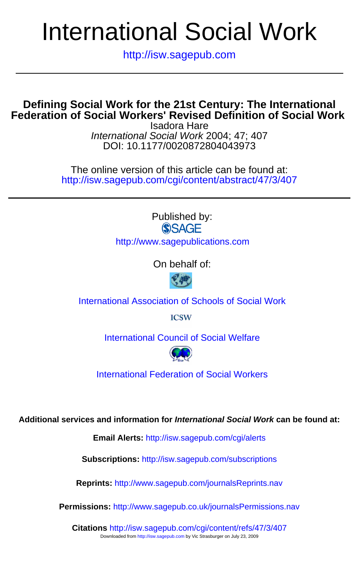# International Social Work

http://isw.sagepub.com

Isadora Hare **Federation of Social Workers' Revised Definition of Social Work Defining Social Work for the 21st Century: The International**

DOI: 10.1177/0020872804043973 International Social Work 2004; 47; 407

http://isw.sagepub.com/cgi/content/abstract/47/3/407 The online version of this article can be found at:

> Published by: **SSAGE** http://www.sagepublications.com

> > On behalf of:



[International Association of Schools of Social Work](http://www.iassw-aiets.org/)

**ICSW** 

[International Council of Social Welfare](http://www.icsw.org)



[International Federation of Social Workers](http://www.ifsw.org)

**Additional services and information for International Social Work can be found at:**

**Email Alerts:** <http://isw.sagepub.com/cgi/alerts>

**Subscriptions:** <http://isw.sagepub.com/subscriptions>

**Reprints:** <http://www.sagepub.com/journalsReprints.nav>

**Permissions:** <http://www.sagepub.co.uk/journalsPermissions.nav>

**Citations** <http://isw.sagepub.com/cgi/content/refs/47/3/407> Downloaded from<http://isw.sagepub.com>by Vic Strasburger on July 23, 2009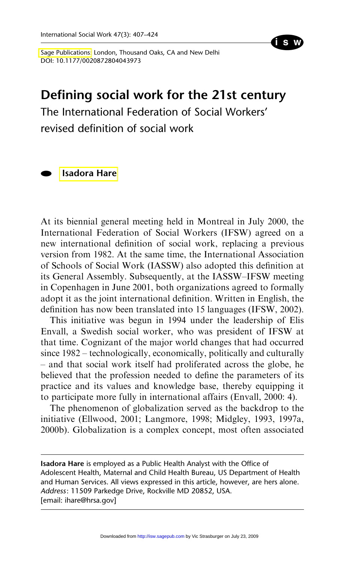[Sage Publications:](www.sagepublications.com) London, Thousand Oaks, CA and New Delhi DOI: 10.1177/0020872804043973

# Defining social work for the 21st century

\*isw

The International Federation of Social Workers' revised definition of social work

**Isadora Hare** 

At its biennial general meeting held in Montreal in July 2000, the International Federation of Social Workers (IFSW) agreed on a new international definition of social work, replacing a previous version from 1982. At the same time, the International Association of Schools of Social Work (IASSW) also adopted this definition at its General Assembly. Subsequently, at the IASSW–IFSW meeting in Copenhagen in June 2001, both organizations agreed to formally adopt it as the joint international definition. Written in English, the definition has now been translated into 15 languages (IFSW, 2002).

This initiative was begun in 1994 under the leadership of Elis Envall, a Swedish social worker, who was president of IFSW at that time. Cognizant of the major world changes that had occurred since 1982 – technologically, economically, politically and culturally – and that social work itself had proliferated across the globe, he believed that the profession needed to define the parameters of its practice and its values and knowledge base, thereby equipping it to participate more fully in international affairs (Envall, 2000: 4).

The phenomenon of globalization served as the backdrop to the initiative (Ellwood, 2001; Langmore, 1998; Midgley, 1993, 1997a, 2000b). Globalization is a complex concept, most often associated

Isadora Hare is employed as a Public Health Analyst with the Office of Adolescent Health, Maternal and Child Health Bureau, US Department of Health and Human Services. All views expressed in this article, however, are hers alone. Address: 11509 Parkedge Drive, Rockville MD 20852, USA. [email: ihare@hrsa.gov]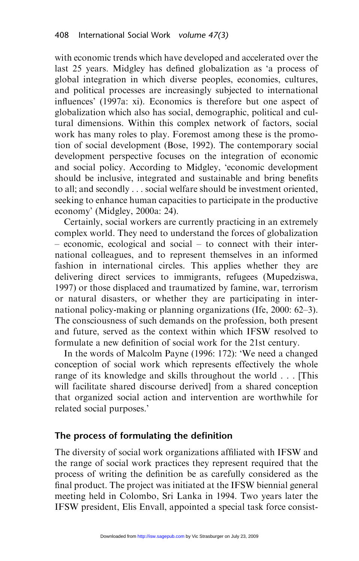with economic trends which have developed and accelerated over the last 25 years. Midgley has defined globalization as 'a process of global integration in which diverse peoples, economies, cultures, and political processes are increasingly subjected to international influences' (1997a: xi). Economics is therefore but one aspect of globalization which also has social, demographic, political and cultural dimensions. Within this complex network of factors, social work has many roles to play. Foremost among these is the promotion of social development (Bose, 1992). The contemporary social development perspective focuses on the integration of economic and social policy. According to Midgley, 'economic development should be inclusive, integrated and sustainable and bring benefits to all; and secondly . . . social welfare should be investment oriented, seeking to enhance human capacities to participate in the productive economy' (Midgley, 2000a: 24).

Certainly, social workers are currently practicing in an extremely complex world. They need to understand the forces of globalization – economic, ecological and social – to connect with their international colleagues, and to represent themselves in an informed fashion in international circles. This applies whether they are delivering direct services to immigrants, refugees (Mupedziswa, 1997) or those displaced and traumatized by famine, war, terrorism or natural disasters, or whether they are participating in international policy-making or planning organizations (Ife, 2000: 62–3). The consciousness of such demands on the profession, both present and future, served as the context within which IFSW resolved to formulate a new definition of social work for the 21st century.

In the words of Malcolm Payne (1996: 172): 'We need a changed conception of social work which represents effectively the whole range of its knowledge and skills throughout the world . . . [This will facilitate shared discourse derived] from a shared conception that organized social action and intervention are worthwhile for related social purposes.'

# The process of formulating the definition

The diversity of social work organizations affiliated with IFSW and the range of social work practices they represent required that the process of writing the definition be as carefully considered as the final product. The project was initiated at the IFSW biennial general meeting held in Colombo, Sri Lanka in 1994. Two years later the IFSW president, Elis Envall, appointed a special task force consist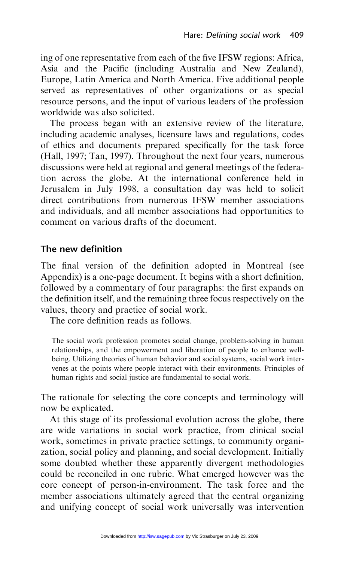ing of one representative from each of the five IFSW regions: Africa, Asia and the Pacific (including Australia and New Zealand), Europe, Latin America and North America. Five additional people served as representatives of other organizations or as special resource persons, and the input of various leaders of the profession worldwide was also solicited.

The process began with an extensive review of the literature, including academic analyses, licensure laws and regulations, codes of ethics and documents prepared specifically for the task force (Hall, 1997; Tan, 1997). Throughout the next four years, numerous discussions were held at regional and general meetings of the federation across the globe. At the international conference held in Jerusalem in July 1998, a consultation day was held to solicit direct contributions from numerous IFSW member associations and individuals, and all member associations had opportunities to comment on various drafts of the document.

#### The new definition

The final version of the definition adopted in Montreal (see Appendix) is a one-page document. It begins with a short definition, followed by a commentary of four paragraphs: the first expands on the definition itself, and the remaining three focus respectively on the values, theory and practice of social work.

The core definition reads as follows.

The social work profession promotes social change, problem-solving in human relationships, and the empowerment and liberation of people to enhance wellbeing. Utilizing theories of human behavior and social systems, social work intervenes at the points where people interact with their environments. Principles of human rights and social justice are fundamental to social work.

The rationale for selecting the core concepts and terminology will now be explicated.

At this stage of its professional evolution across the globe, there are wide variations in social work practice, from clinical social work, sometimes in private practice settings, to community organization, social policy and planning, and social development. Initially some doubted whether these apparently divergent methodologies could be reconciled in one rubric. What emerged however was the core concept of person-in-environment. The task force and the member associations ultimately agreed that the central organizing and unifying concept of social work universally was intervention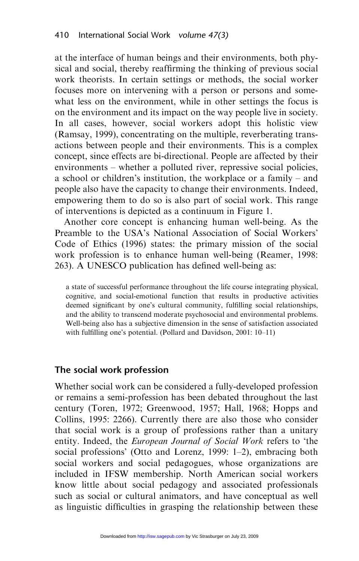at the interface of human beings and their environments, both physical and social, thereby reaffirming the thinking of previous social work theorists. In certain settings or methods, the social worker focuses more on intervening with a person or persons and somewhat less on the environment, while in other settings the focus is on the environment and its impact on the way people live in society. In all cases, however, social workers adopt this holistic view (Ramsay, 1999), concentrating on the multiple, reverberating transactions between people and their environments. This is a complex concept, since effects are bi-directional. People are affected by their environments – whether a polluted river, repressive social policies, a school or children's institution, the workplace or a family – and people also have the capacity to change their environments. Indeed, empowering them to do so is also part of social work. This range of interventions is depicted as a continuum in Figure 1.

Another core concept is enhancing human well-being. As the Preamble to the USA's National Association of Social Workers' Code of Ethics (1996) states: the primary mission of the social work profession is to enhance human well-being (Reamer, 1998: 263). A UNESCO publication has defined well-being as:

a state of successful performance throughout the life course integrating physical, cognitive, and social-emotional function that results in productive activities deemed significant by one's cultural community, fulfilling social relationships, and the ability to transcend moderate psychosocial and environmental problems. Well-being also has a subjective dimension in the sense of satisfaction associated with fulfilling one's potential. (Pollard and Davidson, 2001: 10–11)

# The social work profession

Whether social work can be considered a fully-developed profession or remains a semi-profession has been debated throughout the last century (Toren, 1972; Greenwood, 1957; Hall, 1968; Hopps and Collins, 1995: 2266). Currently there are also those who consider that social work is a group of professions rather than a unitary entity. Indeed, the European Journal of Social Work refers to 'the social professions' (Otto and Lorenz, 1999: 1–2), embracing both social workers and social pedagogues, whose organizations are included in IFSW membership. North American social workers know little about social pedagogy and associated professionals such as social or cultural animators, and have conceptual as well as linguistic difficulties in grasping the relationship between these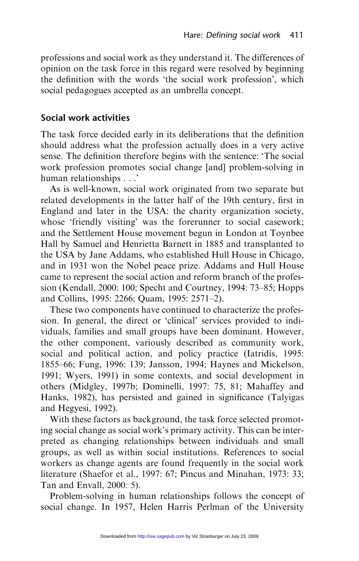professions and social work as they understand it. The differences of opinion on the task force in this regard were resolved by beginning the definition with the words 'the social work profession', which social pedagogues accepted as an umbrella concept.

### Social work activities

The task force decided early in its deliberations that the definition should address what the profession actually does in a very active sense. The definition therefore begins with the sentence: 'The social work profession promotes social change [and] problem-solving in human relationships . . .'

As is well-known, social work originated from two separate but related developments in the latter half of the 19th century, first in England and later in the USA: the charity organization society, whose 'friendly visiting' was the forerunner to social casework; and the Settlement House movement begun in London at Toynbee Hall by Samuel and Henrietta Barnett in 1885 and transplanted to the USA by Jane Addams, who established Hull House in Chicago, and in 1931 won the Nobel peace prize. Addams and Hull House came to represent the social action and reform branch of the profession (Kendall, 2000: 100; Specht and Courtney, 1994: 73–85; Hopps and Collins, 1995: 2266; Quam, 1995: 2571–2).

These two components have continued to characterize the profession. In general, the direct or 'clinical' services provided to individuals, families and small groups have been dominant. However, the other component, variously described as community work, social and political action, and policy practice (Iatridis, 1995: 1855–66; Fung, 1996: 139; Jansson, 1994; Haynes and Mickelson, 1991; Wyers, 1991) in some contexts, and social development in others (Midgley, 1997b; Dominelli, 1997: 75, 81; Mahaffey and Hanks, 1982), has persisted and gained in significance (Talyigas and Hegyesi, 1992).

With these factors as background, the task force selected promoting social change as social work's primary activity. This can be interpreted as changing relationships between individuals and small groups, as well as within social institutions. References to social workers as change agents are found frequently in the social work literature (Shaefor et al., 1997: 67; Pincus and Minahan, 1973: 33; Tan and Envall, 2000: 5).

Problem-solving in human relationships follows the concept of social change. In 1957, Helen Harris Perlman of the University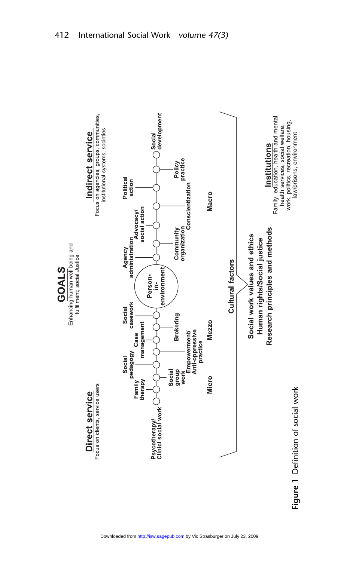

Downloaded from<http://isw.sagepub.com>by Vic Strasburger on July 23, 2009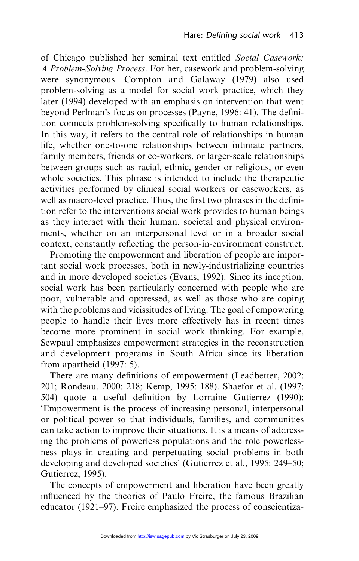of Chicago published her seminal text entitled Social Casework: A Problem-Solving Process. For her, casework and problem-solving were synonymous. Compton and Galaway (1979) also used problem-solving as a model for social work practice, which they later (1994) developed with an emphasis on intervention that went beyond Perlman's focus on processes (Payne, 1996: 41). The definition connects problem-solving specifically to human relationships. In this way, it refers to the central role of relationships in human life, whether one-to-one relationships between intimate partners, family members, friends or co-workers, or larger-scale relationships between groups such as racial, ethnic, gender or religious, or even whole societies. This phrase is intended to include the therapeutic activities performed by clinical social workers or caseworkers, as well as macro-level practice. Thus, the first two phrases in the definition refer to the interventions social work provides to human beings as they interact with their human, societal and physical environments, whether on an interpersonal level or in a broader social context, constantly reflecting the person-in-environment construct.

Promoting the empowerment and liberation of people are important social work processes, both in newly-industrializing countries and in more developed societies (Evans, 1992). Since its inception, social work has been particularly concerned with people who are poor, vulnerable and oppressed, as well as those who are coping with the problems and vicissitudes of living. The goal of empowering people to handle their lives more effectively has in recent times become more prominent in social work thinking. For example, Sewpaul emphasizes empowerment strategies in the reconstruction and development programs in South Africa since its liberation from apartheid (1997: 5).

There are many definitions of empowerment (Leadbetter, 2002: 201; Rondeau, 2000: 218; Kemp, 1995: 188). Shaefor et al. (1997: 504) quote a useful definition by Lorraine Gutierrez (1990): 'Empowerment is the process of increasing personal, interpersonal or political power so that individuals, families, and communities can take action to improve their situations. It is a means of addressing the problems of powerless populations and the role powerlessness plays in creating and perpetuating social problems in both developing and developed societies' (Gutierrez et al., 1995: 249–50; Gutierrez, 1995).

The concepts of empowerment and liberation have been greatly influenced by the theories of Paulo Freire, the famous Brazilian educator (1921–97). Freire emphasized the process of conscientiza-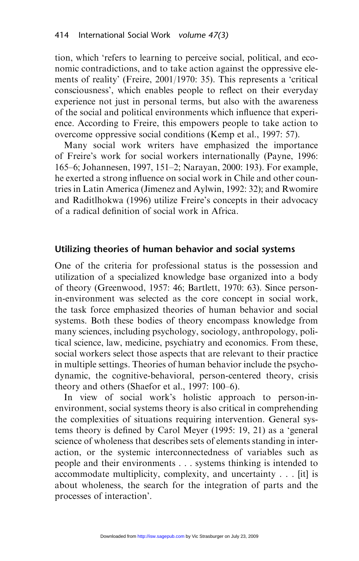tion, which 'refers to learning to perceive social, political, and economic contradictions, and to take action against the oppressive elements of reality' (Freire, 2001/1970: 35). This represents a 'critical consciousness', which enables people to reflect on their everyday experience not just in personal terms, but also with the awareness of the social and political environments which influence that experience. According to Freire, this empowers people to take action to overcome oppressive social conditions (Kemp et al., 1997: 57).

Many social work writers have emphasized the importance of Freire's work for social workers internationally (Payne, 1996: 165–6; Johannesen, 1997, 151–2; Narayan, 2000: 193). For example, he exerted a strong influence on social work in Chile and other countries in Latin America (Jimenez and Aylwin, 1992: 32); and Rwomire and Raditlhokwa (1996) utilize Freire's concepts in their advocacy of a radical definition of social work in Africa.

# Utilizing theories of human behavior and social systems

One of the criteria for professional status is the possession and utilization of a specialized knowledge base organized into a body of theory (Greenwood, 1957: 46; Bartlett, 1970: 63). Since personin-environment was selected as the core concept in social work, the task force emphasized theories of human behavior and social systems. Both these bodies of theory encompass knowledge from many sciences, including psychology, sociology, anthropology, political science, law, medicine, psychiatry and economics. From these, social workers select those aspects that are relevant to their practice in multiple settings. Theories of human behavior include the psychodynamic, the cognitive-behavioral, person-centered theory, crisis theory and others (Shaefor et al., 1997: 100–6).

In view of social work's holistic approach to person-inenvironment, social systems theory is also critical in comprehending the complexities of situations requiring intervention. General systems theory is defined by Carol Meyer (1995: 19, 21) as a 'general science of wholeness that describes sets of elements standing in interaction, or the systemic interconnectedness of variables such as people and their environments . . . systems thinking is intended to accommodate multiplicity, complexity, and uncertainty . . . [it] is about wholeness, the search for the integration of parts and the processes of interaction'.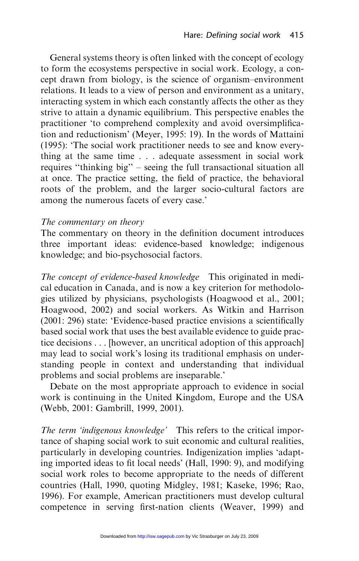General systems theory is often linked with the concept of ecology to form the ecosystems perspective in social work. Ecology, a concept drawn from biology, is the science of organism–environment relations. It leads to a view of person and environment as a unitary, interacting system in which each constantly affects the other as they strive to attain a dynamic equilibrium. This perspective enables the practitioner 'to comprehend complexity and avoid oversimplification and reductionism' (Meyer, 1995: 19). In the words of Mattaini (1995): 'The social work practitioner needs to see and know everything at the same time . . . adequate assessment in social work requires ''thinking big'' – seeing the full transactional situation all at once. The practice setting, the field of practice, the behavioral roots of the problem, and the larger socio-cultural factors are among the numerous facets of every case.'

#### The commentary on theory

The commentary on theory in the definition document introduces three important ideas: evidence-based knowledge; indigenous knowledge; and bio-psychosocial factors.

The concept of evidence-based knowledge This originated in medical education in Canada, and is now a key criterion for methodologies utilized by physicians, psychologists (Hoagwood et al., 2001; Hoagwood, 2002) and social workers. As Witkin and Harrison (2001: 296) state: 'Evidence-based practice envisions a scientifically based social work that uses the best available evidence to guide practice decisions . . . [however, an uncritical adoption of this approach] may lead to social work's losing its traditional emphasis on understanding people in context and understanding that individual problems and social problems are inseparable.'

Debate on the most appropriate approach to evidence in social work is continuing in the United Kingdom, Europe and the USA (Webb, 2001: Gambrill, 1999, 2001).

The term 'indigenous knowledge' This refers to the critical importance of shaping social work to suit economic and cultural realities, particularly in developing countries. Indigenization implies 'adapting imported ideas to fit local needs' (Hall, 1990: 9), and modifying social work roles to become appropriate to the needs of different countries (Hall, 1990, quoting Midgley, 1981; Kaseke, 1996; Rao, 1996). For example, American practitioners must develop cultural competence in serving first-nation clients (Weaver, 1999) and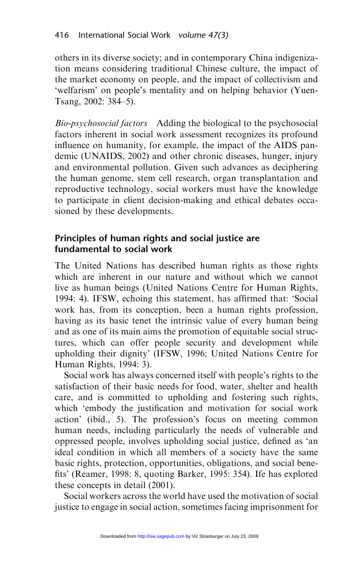others in its diverse society; and in contemporary China indigenization means considering traditional Chinese culture, the impact of the market economy on people, and the impact of collectivism and 'welfarism' on people's mentality and on helping behavior (Yuen-Tsang, 2002: 384–5).

Bio-psychosocial factors Adding the biological to the psychosocial factors inherent in social work assessment recognizes its profound influence on humanity, for example, the impact of the AIDS pandemic (UNAIDS, 2002) and other chronic diseases, hunger, injury and environmental pollution. Given such advances as deciphering the human genome, stem cell research, organ transplantation and reproductive technology, social workers must have the knowledge to participate in client decision-making and ethical debates occasioned by these developments.

# Principles of human rights and social justice are fundamental to social work

The United Nations has described human rights as those rights which are inherent in our nature and without which we cannot live as human beings (United Nations Centre for Human Rights, 1994: 4). IFSW, echoing this statement, has affirmed that: 'Social work has, from its conception, been a human rights profession, having as its basic tenet the intrinsic value of every human being and as one of its main aims the promotion of equitable social structures, which can offer people security and development while upholding their dignity' (IFSW, 1996; United Nations Centre for Human Rights, 1994: 3).

Social work has always concerned itself with people's rights to the satisfaction of their basic needs for food, water, shelter and health care, and is committed to upholding and fostering such rights, which 'embody the justification and motivation for social work action' (ibid., 5). The profession's focus on meeting common human needs, including particularly the needs of vulnerable and oppressed people, involves upholding social justice, defined as 'an ideal condition in which all members of a society have the same basic rights, protection, opportunities, obligations, and social benefits' (Reamer, 1998: 8, quoting Barker, 1995: 354). Ife has explored these concepts in detail (2001).

Social workers across the world have used the motivation of social justice to engage in social action, sometimes facing imprisonment for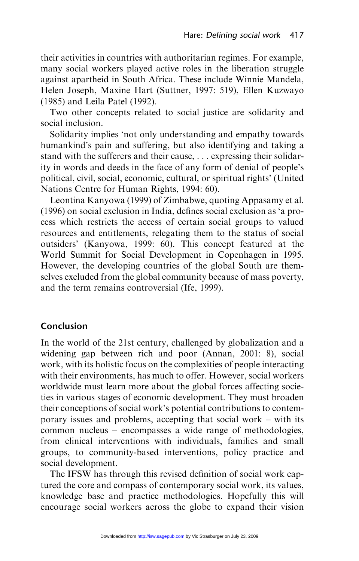their activities in countries with authoritarian regimes. For example, many social workers played active roles in the liberation struggle against apartheid in South Africa. These include Winnie Mandela, Helen Joseph, Maxine Hart (Suttner, 1997: 519), Ellen Kuzwayo (1985) and Leila Patel (1992).

Two other concepts related to social justice are solidarity and social inclusion.

Solidarity implies 'not only understanding and empathy towards humankind's pain and suffering, but also identifying and taking a stand with the sufferers and their cause, . . . expressing their solidarity in words and deeds in the face of any form of denial of people's political, civil, social, economic, cultural, or spiritual rights' (United Nations Centre for Human Rights, 1994: 60).

Leontina Kanyowa (1999) of Zimbabwe, quoting Appasamy et al. (1996) on social exclusion in India, defines social exclusion as 'a process which restricts the access of certain social groups to valued resources and entitlements, relegating them to the status of social outsiders' (Kanyowa, 1999: 60). This concept featured at the World Summit for Social Development in Copenhagen in 1995. However, the developing countries of the global South are themselves excluded from the global community because of mass poverty, and the term remains controversial (Ife, 1999).

#### Conclusion

In the world of the 21st century, challenged by globalization and a widening gap between rich and poor (Annan, 2001: 8), social work, with its holistic focus on the complexities of people interacting with their environments, has much to offer. However, social workers worldwide must learn more about the global forces affecting societies in various stages of economic development. They must broaden their conceptions of social work's potential contributions to contemporary issues and problems, accepting that social work – with its common nucleus – encompasses a wide range of methodologies, from clinical interventions with individuals, families and small groups, to community-based interventions, policy practice and social development.

The IFSW has through this revised definition of social work captured the core and compass of contemporary social work, its values, knowledge base and practice methodologies. Hopefully this will encourage social workers across the globe to expand their vision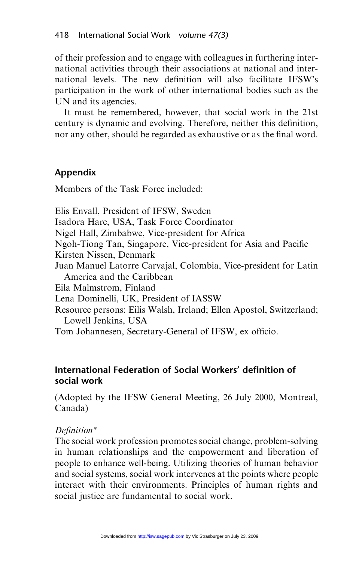of their profession and to engage with colleagues in furthering international activities through their associations at national and international levels. The new definition will also facilitate IFSW's participation in the work of other international bodies such as the UN and its agencies.

It must be remembered, however, that social work in the 21st century is dynamic and evolving. Therefore, neither this definition, nor any other, should be regarded as exhaustive or as the final word.

# Appendix

Members of the Task Force included:

Elis Envall, President of IFSW, Sweden Isadora Hare, USA, Task Force Coordinator Nigel Hall, Zimbabwe, Vice-president for Africa Ngoh-Tiong Tan, Singapore, Vice-president for Asia and Pacific Kirsten Nissen, Denmark Juan Manuel Latorre Carvajal, Colombia, Vice-president for Latin America and the Caribbean Eila Malmstrom, Finland Lena Dominelli, UK, President of IASSW Resource persons: Eilis Walsh, Ireland; Ellen Apostol, Switzerland; Lowell Jenkins, USA Tom Johannesen, Secretary-General of IFSW, ex officio.

# International Federation of Social Workers' definition of social work

(Adopted by the IFSW General Meeting, 26 July 2000, Montreal, Canada)

# Definition

The social work profession promotes social change, problem-solving in human relationships and the empowerment and liberation of people to enhance well-being. Utilizing theories of human behavior and social systems, social work intervenes at the points where people interact with their environments. Principles of human rights and social justice are fundamental to social work.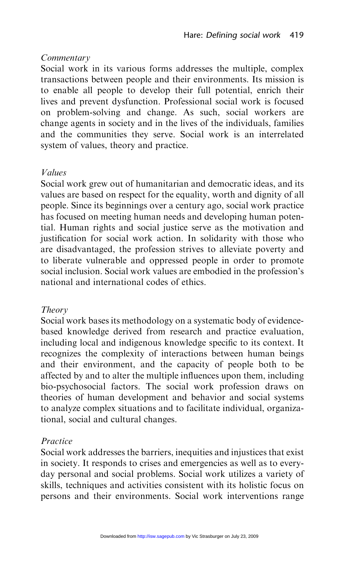#### Commentary

Social work in its various forms addresses the multiple, complex transactions between people and their environments. Its mission is to enable all people to develop their full potential, enrich their lives and prevent dysfunction. Professional social work is focused on problem-solving and change. As such, social workers are change agents in society and in the lives of the individuals, families and the communities they serve. Social work is an interrelated system of values, theory and practice.

#### Values

Social work grew out of humanitarian and democratic ideas, and its values are based on respect for the equality, worth and dignity of all people. Since its beginnings over a century ago, social work practice has focused on meeting human needs and developing human potential. Human rights and social justice serve as the motivation and justification for social work action. In solidarity with those who are disadvantaged, the profession strives to alleviate poverty and to liberate vulnerable and oppressed people in order to promote social inclusion. Social work values are embodied in the profession's national and international codes of ethics.

# Theory

Social work bases its methodology on a systematic body of evidencebased knowledge derived from research and practice evaluation, including local and indigenous knowledge specific to its context. It recognizes the complexity of interactions between human beings and their environment, and the capacity of people both to be affected by and to alter the multiple influences upon them, including bio-psychosocial factors. The social work profession draws on theories of human development and behavior and social systems to analyze complex situations and to facilitate individual, organizational, social and cultural changes.

# Practice

Social work addresses the barriers, inequities and injustices that exist in society. It responds to crises and emergencies as well as to everyday personal and social problems. Social work utilizes a variety of skills, techniques and activities consistent with its holistic focus on persons and their environments. Social work interventions range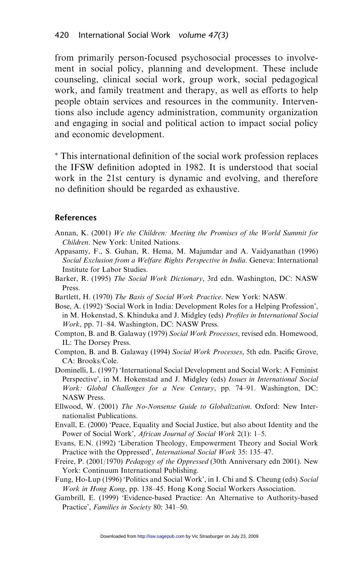from primarily person-focused psychosocial processes to involvement in social policy, planning and development. These include counseling, clinical social work, group work, social pedagogical work, and family treatment and therapy, as well as efforts to help people obtain services and resources in the community. Interventions also include agency administration, community organization and engaging in social and political action to impact social policy and economic development.

 This international definition of the social work profession replaces the IFSW definition adopted in 1982. It is understood that social work in the 21st century is dynamic and evolving, and therefore no definition should be regarded as exhaustive.

#### References

- Annan, K. (2001) We the Children: Meeting the Promises of the World Summit for Children. New York: United Nations.
- Appasamy, F., S. Guhan, R. Hema, M. Majumdar and A. Vaidyanathan (1996) Social Exclusion from a Welfare Rights Perspective in India. Geneva: International Institute for Labor Studies.
- Barker, R. (1995) The Social Work Dictionary, 3rd edn. Washington, DC: NASW Press.
- Bartlett, H. (1970) The Basis of Social Work Practice. New York: NASW.
- Bose, A. (1992) 'Social Work in India: Development Roles for a Helping Profession', in M. Hokenstad, S. Khinduka and J. Midgley (eds) Profiles in International Social Work, pp. 71–84. Washington, DC: NASW Press.
- Compton, B. and B. Galaway (1979) Social Work Processes, revised edn. Homewood, IL: The Dorsey Press.
- Compton, B. and B. Galaway (1994) Social Work Processes, 5th edn. Pacific Grove, CA: Brooks/Cole.
- Dominelli, L. (1997) 'International Social Development and Social Work: A Feminist Perspective', in M. Hokenstad and J. Midgley (eds) Issues in International Social Work: Global Challenges for a New Century, pp. 74–91. Washington, DC: NASW Press.
- Ellwood, W. (2001) The No-Nonsense Guide to Globalization. Oxford: New Internationalist Publications.
- Envall, E. (2000) 'Peace, Equality and Social Justice, but also about Identity and the Power of Social Work', African Journal of Social Work 2(1): 1–5.
- Evans, E.N. (1992) 'Liberation Theology, Empowerment Theory and Social Work Practice with the Oppressed', International Social Work 35: 135–47.
- Freire, P. (2001/1970) Pedagogy of the Oppressed (30th Anniversary edn 2001). New York: Continuum International Publishing.
- Fung, Ho-Lup (1996) 'Politics and Social Work', in I. Chi and S. Cheung (eds) Social Work in Hong Kong, pp. 138–45. Hong Kong Social Workers Association.
- Gambrill, E. (1999) 'Evidence-based Practice: An Alternative to Authority-based Practice', Families in Society 80: 341–50.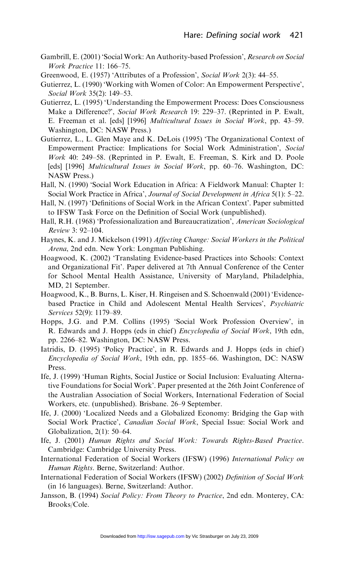- Gambrill, E. (2001) 'Social Work: An Authority-based Profession', Research on Social Work Practice 11: 166–75.
- Greenwood, E. (1957) 'Attributes of a Profession', Social Work 2(3): 44–55.
- Gutierrez, L. (1990) 'Working with Women of Color: An Empowerment Perspective', Social Work 35(2): 149–53.
- Gutierrez, L. (1995) 'Understanding the Empowerment Process: Does Consciousness Make a Difference?', Social Work Research 19: 229–37. (Reprinted in P. Ewalt, E. Freeman et al. [eds] [1996] Multicultural Issues in Social Work, pp. 43–59. Washington, DC: NASW Press.)
- Gutierrez, L., L. Glen Maye and K. DeLois (1995) 'The Organizational Context of Empowerment Practice: Implications for Social Work Administration', Social Work 40: 249–58. (Reprinted in P. Ewalt, E. Freeman, S. Kirk and D. Poole [eds] [1996] *Multicultural Issues in Social Work*, pp. 60–76. Washington, DC: NASW Press.)
- Hall, N. (1990) 'Social Work Education in Africa: A Fieldwork Manual: Chapter 1: Social Work Practice in Africa', Journal of Social Development in Africa 5(1): 5–22.
- Hall, N. (1997) 'Definitions of Social Work in the African Context'. Paper submitted to IFSW Task Force on the Definition of Social Work (unpublished).
- Hall, R.H. (1968) 'Professionalization and Bureaucratization', American Sociological Review 3: 92–104.
- Haynes, K. and J. Mickelson (1991) Affecting Change: Social Workers in the Political Arena, 2nd edn. New York: Longman Publishing.
- Hoagwood, K. (2002) 'Translating Evidence-based Practices into Schools: Context and Organizational Fit'. Paper delivered at 7th Annual Conference of the Center for School Mental Health Assistance, University of Maryland, Philadelphia, MD, 21 September.
- Hoagwood, K., B. Burns, L. Kiser, H. Ringeisen and S. Schoenwald (2001) 'Evidencebased Practice in Child and Adolescent Mental Health Services', Psychiatric Services 52(9): 1179–89.
- Hopps, J.G. and P.M. Collins (1995) 'Social Work Profession Overview', in R. Edwards and J. Hopps (eds in chief) *Encyclopedia of Social Work*, 19th edn, pp. 2266–82. Washington, DC: NASW Press.
- Iatridis, D. (1995) 'Policy Practice', in R. Edwards and J. Hopps (eds in chief ) Encyclopedia of Social Work, 19th edn, pp. 1855–66. Washington, DC: NASW Press.
- Ife, J. (1999) 'Human Rights, Social Justice or Social Inclusion: Evaluating Alternative Foundations for Social Work'. Paper presented at the 26th Joint Conference of the Australian Association of Social Workers, International Federation of Social Workers, etc. (unpublished). Brisbane. 26–9 September.
- Ife, J. (2000) 'Localized Needs and a Globalized Economy: Bridging the Gap with Social Work Practice', Canadian Social Work, Special Issue: Social Work and Globalization, 2(1): 50–64.
- Ife, J. (2001) Human Rights and Social Work: Towards Rights-Based Practice. Cambridge: Cambridge University Press.
- International Federation of Social Workers (IFSW) (1996) International Policy on Human Rights. Berne, Switzerland: Author.
- International Federation of Social Workers (IFSW) (2002) Definition of Social Work (in 16 languages). Berne, Switzerland: Author.
- Jansson, B. (1994) Social Policy: From Theory to Practice, 2nd edn. Monterey, CA: Brooks/Cole.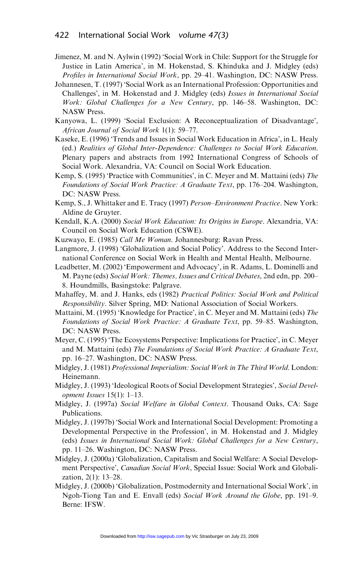- Jimenez, M. and N. Aylwin (1992) 'Social Work in Chile: Support for the Struggle for Justice in Latin America', in M. Hokenstad, S. Khinduka and J. Midgley (eds) Profiles in International Social Work, pp. 29–41. Washington, DC: NASW Press.
- Johannesen, T. (1997) 'Social Work as an International Profession: Opportunities and Challenges', in M. Hokenstad and J. Midgley (eds) Issues in International Social Work: Global Challenges for a New Century, pp. 146–58. Washington, DC: NASW Press.
- Kanyowa, L. (1999) 'Social Exclusion: A Reconceptualization of Disadvantage', African Journal of Social Work 1(1): 59–77.
- Kaseke, E. (1996) 'Trends and Issues in Social Work Education in Africa', in L. Healy (ed.) Realities of Global Inter-Dependence: Challenges to Social Work Education. Plenary papers and abstracts from 1992 International Congress of Schools of Social Work. Alexandria, VA: Council on Social Work Education.
- Kemp, S. (1995) 'Practice with Communities', in C. Meyer and M. Mattaini (eds) The Foundations of Social Work Practice: A Graduate Text, pp. 176–204. Washington, DC: NASW Press.
- Kemp, S., J. Whittaker and E. Tracy (1997) Person–Environment Practice. New York: Aldine de Gruyter.
- Kendall, K.A. (2000) Social Work Education: Its Origins in Europe. Alexandria, VA: Council on Social Work Education (CSWE).
- Kuzwayo, E. (1985) Call Me Woman. Johannesburg: Ravan Press.
- Langmore, J. (1998) 'Globalization and Social Policy'. Address to the Second International Conference on Social Work in Health and Mental Health, Melbourne.
- Leadbetter, M. (2002) 'Empowerment and Advocacy', in R. Adams, L. Dominelli and M. Payne (eds) Social Work: Themes, Issues and Critical Debates, 2nd edn, pp. 200– 8. Houndmills, Basingstoke: Palgrave.
- Mahaffey, M. and J. Hanks, eds (1982) Practical Politics: Social Work and Political Responsibility. Silver Spring, MD: National Association of Social Workers.
- Mattaini, M. (1995) 'Knowledge for Practice', in C. Meyer and M. Mattaini (eds) The Foundations of Social Work Practice: A Graduate Text, pp. 59–85. Washington, DC: NASW Press.
- Meyer, C. (1995) 'The Ecosystems Perspective: Implications for Practice', in C. Meyer and M. Mattaini (eds) The Foundations of Social Work Practice: A Graduate Text, pp. 16–27. Washington, DC: NASW Press.
- Midgley, J. (1981) Professional Imperialism: Social Work in The Third World. London: Heinemann.
- Midgley, J. (1993) 'Ideological Roots of Social Development Strategies', Social Development Issues 15(1): 1–13.
- Midgley, J. (1997a) Social Welfare in Global Context. Thousand Oaks, CA: Sage Publications.
- Midgley, J. (1997b) 'Social Work and International Social Development: Promoting a Developmental Perspective in the Profession', in M. Hokenstad and J. Midgley (eds) Issues in International Social Work: Global Challenges for a New Century, pp. 11–26. Washington, DC: NASW Press.
- Midgley, J. (2000a) 'Globalization, Capitalism and Social Welfare: A Social Development Perspective', Canadian Social Work, Special Issue: Social Work and Globalization, 2(1): 13–28.
- Midgley, J. (2000b) 'Globalization, Postmodernity and International Social Work', in Ngoh-Tiong Tan and E. Envall (eds) Social Work Around the Globe, pp. 191–9. Berne: IFSW.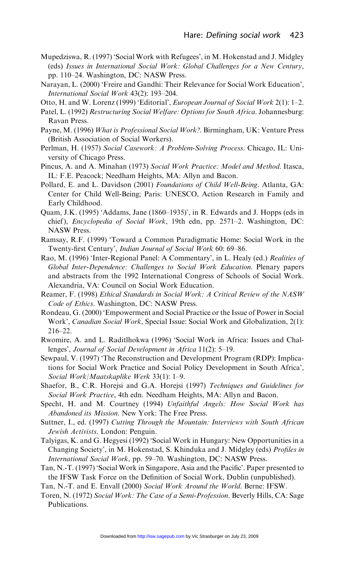- Mupedziswa, R. (1997) 'Social Work with Refugees', in M. Hokenstad and J. Midgley (eds) Issues in International Social Work: Global Challenges for a New Century, pp. 110–24. Washington, DC: NASW Press.
- Narayan, L. (2000) 'Freire and Gandhi: Their Relevance for Social Work Education', International Social Work 43(2): 193–204.

Otto, H. and W. Lorenz (1999) 'Editorial', European Journal of Social Work 2(1): 1–2.

- Patel, L. (1992) Restructuring Social Welfare: Options for South Africa. Johannesburg: Ravan Press.
- Payne, M. (1996) What is Professional Social Work?. Birmingham, UK: Venture Press (British Association of Social Workers).
- Perlman, H. (1957) Social Casework: A Problem-Solving Process. Chicago, IL: University of Chicago Press.
- Pincus, A. and A. Minahan (1973) Social Work Practice: Model and Method. Itasca, IL: F.E. Peacock; Needham Heights, MA: Allyn and Bacon.
- Pollard, E. and L. Davidson (2001) Foundations of Child Well-Being. Atlanta, GA: Center for Child Well-Being; Paris: UNESCO, Action Research in Family and Early Childhood.
- Quam, J.K. (1995) 'Addams, Jane (1860–1935)', in R. Edwards and J. Hopps (eds in chief ), Encyclopedia of Social Work, 19th edn, pp. 2571–2. Washington, DC: NASW Press.
- Ramsay, R.F. (1999) 'Toward a Common Paradigmatic Home: Social Work in the Twenty-first Century', Indian Journal of Social Work 60: 69–86.
- Rao, M. (1996) 'Inter-Regional Panel: A Commentary', in L. Healy (ed.) Realities of Global Inter-Dependence: Challenges to Social Work Education. Plenary papers and abstracts from the 1992 International Congress of Schools of Social Work. Alexandria, VA: Council on Social Work Education.
- Reamer, F. (1998) Ethical Standards in Social Work: A Critical Review of the NASW Code of Ethics. Washington, DC: NASW Press.
- Rondeau, G. (2000) 'Empowerment and Social Practice or the Issue of Power in Social Work', Canadian Social Work, Special Issue: Social Work and Globalization, 2(1): 216–22.
- Rwomire, A. and L. Raditlhokwa (1996) 'Social Work in Africa: Issues and Challenges', Journal of Social Development in Africa 11(2): 5–19.
- Sewpaul, V. (1997) 'The Reconstruction and Development Program (RDP): Implications for Social Work Practice and Social Policy Development in South Africa', Social Work/Maatskaplike Werk 33(1): 1–9.
- Shaefor, B., C.R. Horejsi and G.A. Horejsi (1997) Techniques and Guidelines for Social Work Practice, 4th edn. Needham Heights, MA: Allyn and Bacon.
- Specht, H. and M. Courtney (1994) Unfaithful Angels: How Social Work has Abandoned its Mission. New York: The Free Press.
- Suttner, I., ed. (1997) Cutting Through the Mountain: Interviews with South African Jewish Activists. London: Penguin.
- Talyigas, K. and G. Hegyesi (1992) 'Social Work in Hungary: New Opportunities in a Changing Society', in M. Hokenstad, S. Khinduka and J. Midgley (eds) Profiles in International Social Work, pp. 59–70. Washington, DC: NASW Press.
- Tan, N.-T. (1997) 'Social Work in Singapore, Asia and the Pacific'. Paper presented to the IFSW Task Force on the Definition of Social Work, Dublin (unpublished).
- Tan, N.-T. and E. Envall (2000) Social Work Around the World. Berne: IFSW.
- Toren, N. (1972) Social Work: The Case of a Semi-Profession. Beverly Hills, CA: Sage Publications.